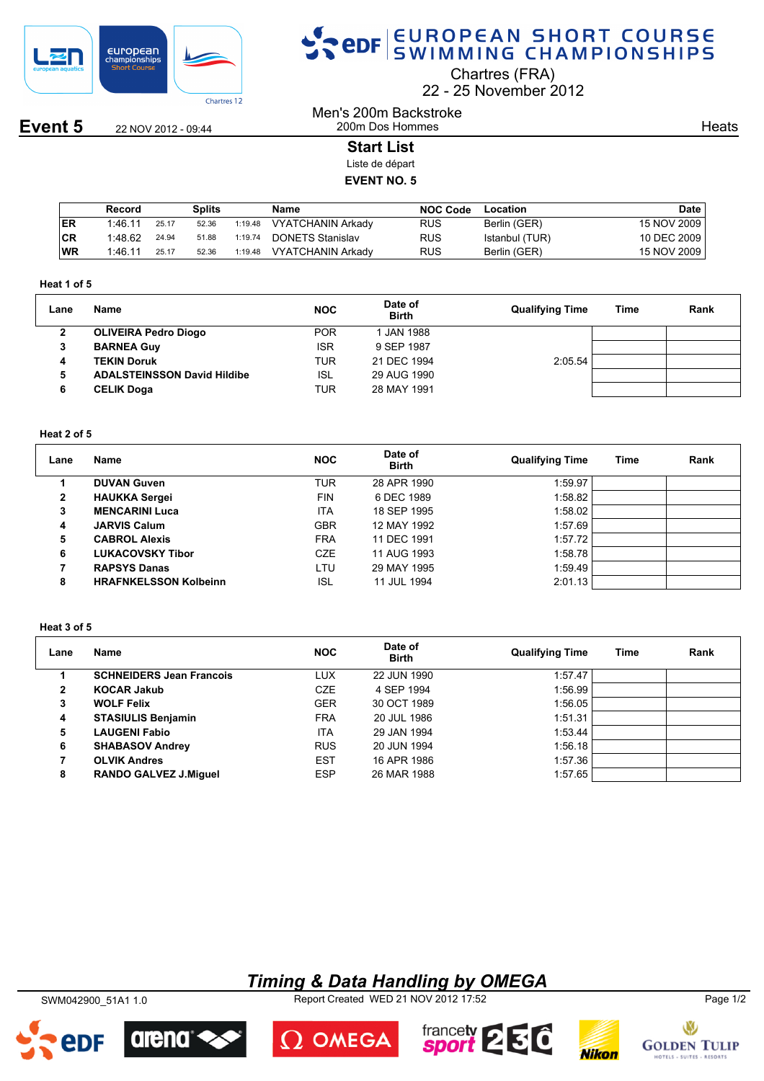

## SPOR EUROPEAN SHORT COURSE

Chartres (FRA)

22 25 November 2012

**Event 5** 22 NOV 2012 - 09:44

**Heats** 

200m Dos Hommes **Start List**

Men's 200m Backstroke

Liste de départ

**EVENT NO. 5**

|           | Record  |       | Splits |         | Name              | <b>NOC Code</b> | Location       | Date l      |
|-----------|---------|-------|--------|---------|-------------------|-----------------|----------------|-------------|
| <b>ER</b> | 1:46.11 | 25.17 | 52.36  | 1:19.48 | VYATCHANIN Arkady | <b>RUS</b>      | Berlin (GER)   | 15 NOV 2009 |
| CR        | 1:48.62 | 24.94 | 51.88  | 1:19.74 | DONETS Stanislav  | <b>RUS</b>      | Istanbul (TUR) | 10 DEC 2009 |
| WR        | 1:46.11 | 25.17 | 52.36  | 1:19.48 | VYATCHANIN Arkady | <b>RUS</b>      | Berlin (GER)   | 15 NOV 2009 |

#### **Heat 1 of 5**

| Lane | Name                               | <b>NOC</b> | Date of<br><b>Birth</b> | <b>Qualifying Time</b> | Time | Rank |
|------|------------------------------------|------------|-------------------------|------------------------|------|------|
| 2    | <b>OLIVEIRA Pedro Diogo</b>        | <b>POR</b> | 1 JAN 1988              |                        |      |      |
| 3    | <b>BARNEA Guy</b>                  | <b>ISR</b> | 9 SEP 1987              |                        |      |      |
| 4    | <b>TEKIN Doruk</b>                 | TUR        | 21 DEC 1994             | 2:05.54                |      |      |
| 5    | <b>ADALSTEINSSON David Hildibe</b> | ISL        | 29 AUG 1990             |                        |      |      |
| 6    | <b>CELIK Doga</b>                  | TUR        | 28 MAY 1991             |                        |      |      |

## **Heat 2 of 5**

| Lane         | Name                         | <b>NOC</b> | Date of<br><b>Birth</b> | <b>Qualifying Time</b> | Time | Rank |
|--------------|------------------------------|------------|-------------------------|------------------------|------|------|
|              | <b>DUVAN Guven</b>           | TUR        | 28 APR 1990             | 1:59.97                |      |      |
| $\mathbf{2}$ | <b>HAUKKA Sergei</b>         | <b>FIN</b> | 6 DEC 1989              | 1:58.82                |      |      |
| 3            | <b>MENCARINI Luca</b>        | <b>ITA</b> | 18 SEP 1995             | 1:58.02                |      |      |
| 4            | <b>JARVIS Calum</b>          | <b>GBR</b> | 12 MAY 1992             | 1:57.69                |      |      |
| 5            | <b>CABROL Alexis</b>         | <b>FRA</b> | 11 DEC 1991             | 1:57.72                |      |      |
| 6            | <b>LUKACOVSKY Tibor</b>      | <b>CZE</b> | 11 AUG 1993             | 1:58.78                |      |      |
|              | <b>RAPSYS Danas</b>          | LTU        | 29 MAY 1995             | 1:59.49                |      |      |
| 8            | <b>HRAFNKELSSON Kolbeinn</b> | <b>ISL</b> | 11 JUL 1994             | 2:01.13                |      |      |

#### **Heat 3 of 5**

| Lane | Name                            | <b>NOC</b> | Date of<br><b>Birth</b> | <b>Qualifying Time</b> | Time | Rank |
|------|---------------------------------|------------|-------------------------|------------------------|------|------|
|      | <b>SCHNEIDERS Jean Francois</b> | LUX        | 22 JUN 1990             | 1:57.47                |      |      |
| 2    | <b>KOCAR Jakub</b>              | <b>CZE</b> | 4 SEP 1994              | 1:56.99                |      |      |
| 3    | <b>WOLF Felix</b>               | <b>GER</b> | 30 OCT 1989             | 1:56.05                |      |      |
| 4    | <b>STASIULIS Benjamin</b>       | <b>FRA</b> | 20 JUL 1986             | 1:51.31                |      |      |
| 5    | <b>LAUGENI Fabio</b>            | <b>ITA</b> | 29 JAN 1994             | 1:53.44                |      |      |
| 6    | <b>SHABASOV Andrey</b>          | <b>RUS</b> | 20 JUN 1994             | 1:56.18                |      |      |
|      | <b>OLVIK Andres</b>             | <b>EST</b> | 16 APR 1986             | 1:57.36                |      |      |
| 8    | <b>RANDO GALVEZ J.Miquel</b>    | <b>ESP</b> | 26 MAR 1988             | 1:57.65                |      |      |

## *Timing & Data Handling by OMEGA*

SWM042900\_51A1 1.0 Report Created WED 21 NOV 2012 17:52 Page 1/2







2DF

arena